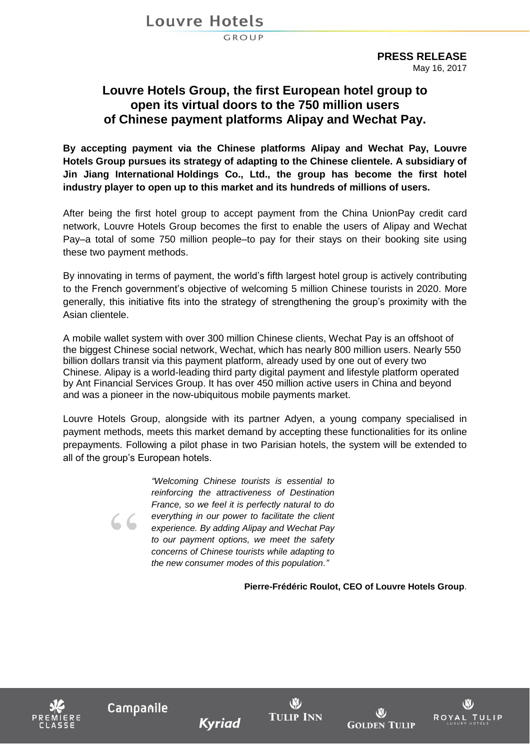Louvre Hotels

GROUP

**PRESS RELEASE** May 16, 2017

## **Louvre Hotels Group, the first European hotel group to open its virtual doors to the 750 million users of Chinese payment platforms Alipay and Wechat Pay.**

**By accepting payment via the Chinese platforms Alipay and Wechat Pay, Louvre Hotels Group pursues its strategy of adapting to the Chinese clientele. A subsidiary of Jin Jiang International Holdings Co., Ltd., the group has become the first hotel industry player to open up to this market and its hundreds of millions of users.**

After being the first hotel group to accept payment from the China UnionPay credit card network, Louvre Hotels Group becomes the first to enable the users of Alipay and Wechat Pay–a total of some 750 million people–to pay for their stays on their booking site using these two payment methods.

By innovating in terms of payment, the world's fifth largest hotel group is actively contributing to the French government's objective of welcoming 5 million Chinese tourists in 2020. More generally, this initiative fits into the strategy of strengthening the group's proximity with the Asian clientele.

A mobile wallet system with over 300 million Chinese clients, Wechat Pay is an offshoot of the biggest Chinese social network, Wechat, which has nearly 800 million users. Nearly 550 billion dollars transit via this payment platform, already used by one out of every two Chinese. Alipay is a world-leading third party digital payment and lifestyle platform operated by Ant Financial Services Group. It has over 450 million active users in China and beyond and was a pioneer in the now-ubiquitous mobile payments market.

Louvre Hotels Group, alongside with its partner Adyen, a young company specialised in payment methods, meets this market demand by accepting these functionalities for its online prepayments. Following a pilot phase in two Parisian hotels, the system will be extended to all of the group's European hotels.

> *"Welcoming Chinese tourists is essential to reinforcing the attractiveness of Destination France, so we feel it is perfectly natural to do everything in our power to facilitate the client experience. By adding Alipay and Wechat Pay to our payment options, we meet the safety concerns of Chinese tourists while adapting to the new consumer modes of this population."*

> > **Pierre-Frédéric Roulot, CEO of Louvre Hotels Group**.